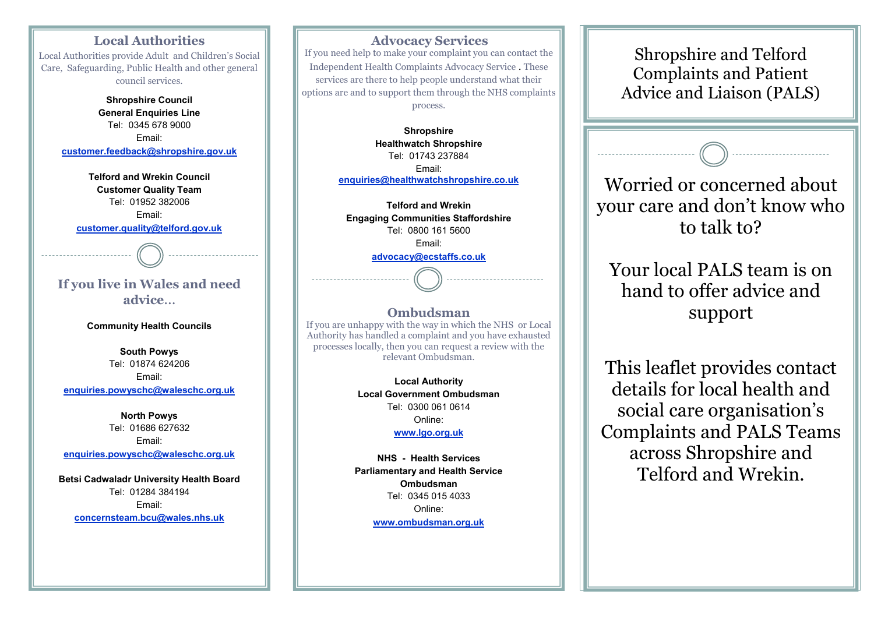## **Local Authorities**

Local Authorities provide Adult and Children's Social Care, Safeguarding, Public Health and other general council services.

> **Shropshire Council General Enquiries Line** Tel: 0345 678 9000 Email: **customer.feedback@shropshire.gov.uk**

**Telford and Wrekin Council Customer Quality Team** Tel: 01952 382006 Email: **customer.quality@telford.gov.uk**

# **If you live in Wales and need advice**…

**Community Health Councils**

**South Powys** Tel: 01874 624206 Email: **enquiries.powyschc@waleschc.org.uk**

**North Powys** Tel: 01686 627632 Email: **enquiries.powyschc@waleschc.org.uk**

**Betsi Cadwaladr University Health Board** Tel: 01284 384194 Email: **concernsteam.bcu@wales.nhs.uk**

### **Advocacy Services** If you need help to make your complaint you can contact the Independent Health Complaints Advocacy Service . These services are there to help people understand what their options are and to support them through the NHS complaints process.

**Shropshire Healthwatch Shropshire** Tel: 01743 237884 Email: **enquiries@healthwatchshropshire.co.uk**

**Telford and Wrekin Engaging Communities Staffordshire** Tel: 0800 161 5600 Email: **advocacy@ecstaffs.co.uk**

#### **Ombudsman**

If you are unhappy with the way in which the NHS or Local Authority has handled a complaint and you have exhausted processes locally, then you can request a review with the relevant Ombudsman.

> **Local Authority Local Government Ombudsman** Tel: 0300 061 0614 Online: **www.lgo.org.uk**

**NHS - Health Services Parliamentary and Health Service Ombudsman** Tel: 0345 015 4033 Online: **www.ombudsman.org.uk**

Shropshire and Telford Complaints and Patient Advice and Liaison (PALS)

Worried or concerned about your care and don't know who to talk to?

Your local PALS team is on hand to offer advice and support

This leaflet provides contact details for local health and social care organisation's Complaints and PALS Teams across Shropshire and Telford and Wrekin.